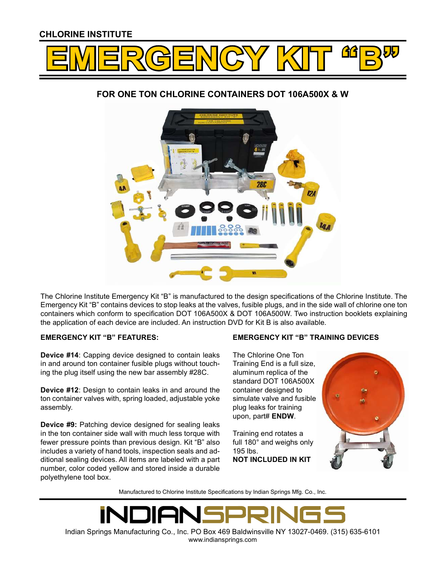## CHLORINE INSTITUTE



# FOR ONE TON CHLORINE CONTAINERS DOT 106A500X & W



The Chlorine Institute Emergency Kit "B" is manufactured to the design specifications of the Chlorine Institute. The Emergency Kit "B" contains devices to stop leaks at the valves, fusible plugs, and in the side wall of chlorine one ton containers which conform to specification DOT 106A500X & DOT 106A500W. Two instruction booklets explaining the application of each device are included. An instruction DVD for Kit B is also available.

### EMERGENCY KIT "B" FEATURES:

Device #14: Capping device designed to contain leaks in and around ton container fusible plugs without touching the plug itself using the new bar assembly #28C.

Device #12: Design to contain leaks in and around the ton container valves with, spring loaded, adjustable yoke assembly.

Device #9: Patching device designed for sealing leaks in the ton container side wall with much less torque with fewer pressure points than previous design. Kit "B" also includes a variety of hand tools, inspection seals and additional sealing devices. All items are labeled with a part number, color coded yellow and stored inside a durable polyethylene tool box.

### EMERGENCY KIT "B" TRAINING DEVICES

The Chlorine One Ton Training End is a full size, aluminum replica of the standard DOT 106A500X container designed to simulate valve and fusible plug leaks for training upon, part# ENDW.

Training end rotates a full 180° and weighs only 195 lbs. NOT INCLUDED IN KIT



Manufactured to Chlorine Institute Specifications by Indian Springs Mfg. Co., Inc.

Indian Springs Manufacturing Co., Inc. PO Box 469 Baldwinsville NY 13027-0469. (315) 635-6101 www.indiansprings.com